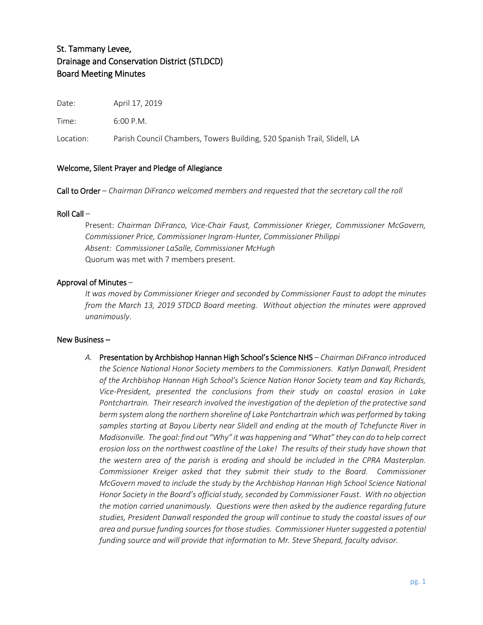# St. Tammany Levee, Drainage and Conservation District (STLDCD) Board Meeting Minutes

Date: April 17, 2019

Time: 6:00 P.M.

Location: Parish Council Chambers, Towers Building, 520 Spanish Trail, Slidell, LA

## Welcome, Silent Prayer and Pledge of Allegiance

Call to Order – *Chairman DiFranco welcomed members and requested that the secretary call the roll*

#### Roll Call –

Present: *Chairman DiFranco, Vice-Chair Faust, Commissioner Krieger, Commissioner McGovern, Commissioner Price, Commissioner Ingram-Hunter, Commissioner Philippi Absent: Commissioner LaSalle, Commissioner McHugh* Quorum was met with 7 members present.

## Approval of Minutes –

*It was moved by Commissioner Krieger and seconded by Commissioner Faust to adopt the minutes from the March 13, 2019 STDCD Board meeting. Without objection the minutes were approved unanimously*.

#### New Business –

*A.* Presentation by Archbishop Hannan High School's Science NHS *– Chairman DiFranco introduced the Science National Honor Society members to the Commissioners. Katlyn Danwall, President of the Archbishop Hannan High School's Science Nation Honor Society team and Kay Richards, Vice-President, presented the conclusions from their study on coastal erosion in Lake Pontchartrain. Their research involved the investigation of the depletion of the protective sand berm system along the northern shoreline of Lake Pontchartrain which was performed by taking samples starting at Bayou Liberty near Slidell and ending at the mouth of Tchefuncte River in Madisonville. The goal: find out "Why" it was happening and "What" they can do to help correct erosion loss on the northwest coastline of the Lake! The results of their study have shown that the western area of the parish is eroding and should be included in the CPRA Masterplan. Commissioner Kreiger asked that they submit their study to the Board. Commissioner McGovern moved to include the study by the Archbishop Hannan High School Science National Honor Society in the Board's official study, seconded by Commissioner Faust. With no objection the motion carried unanimously. Questions were then asked by the audience regarding future studies, President Danwall responded the group will continue to study the coastal issues of our area and pursue funding sources for those studies. Commissioner Hunter suggested a potential*  funding source and will provide that information to Mr. Steve Shepard, faculty advisor.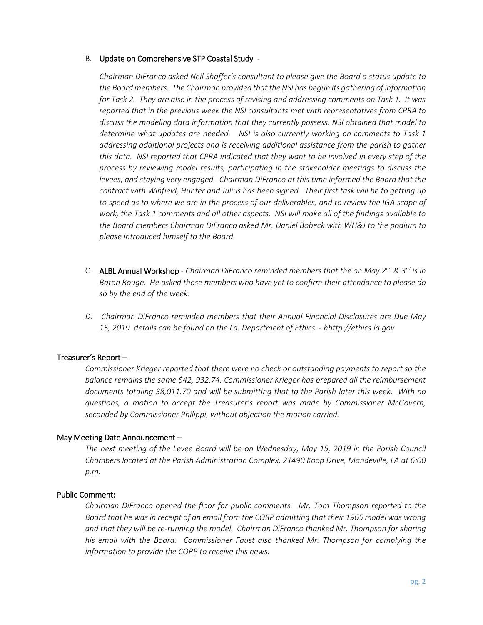## B. Update on Comprehensive STP Coastal Study -

*Chairman DiFranco asked Neil Shaffer's consultant to please give the Board a status update to the Board members. The Chairman provided that the NSI has begun its gathering of information for Task 2. They are also in the process of revising and addressing comments on Task 1. It was reported that in the previous week the NSI consultants met with representatives from CPRA to discuss the modeling data information that they currently possess. NSI obtained that model to determine what updates are needed. NSI is also currently working on comments to Task 1 addressing additional projects and is receiving additional assistance from the parish to gather this data. NSI reported that CPRA indicated that they want to be involved in every step of the process by reviewing model results, participating in the stakeholder meetings to discuss the levees, and staying very engaged. Chairman DiFranco at this time informed the Board that the contract with Winfield, Hunter and Julius has been signed. Their first task will be to getting up to speed as to where we are in the process of our deliverables, and to review the IGA scope of work, the Task 1 comments and all other aspects. NSI will make all of the findings available to the Board members Chairman DiFranco asked Mr. Daniel Bobeck with WH&J to the podium to please introduced himself to the Board.*

- C. ALBL Annual Workshop *Chairman DiFranco reminded members that the on May 2nd & 3rd is in Baton Rouge. He asked those members who have yet to confirm their attendance to please do so by the end of the week*.
- *D. Chairman DiFranco reminded members that their Annual Financial Disclosures are Due May 15, 2019 details can be found on the La. Department of Ethics - hhttp://ethics.la.gov*

## Treasurer's Report –

*Commissioner Krieger reported that there were no check or outstanding payments to report so the balance remains the same \$42, 932.74. Commissioner Krieger has prepared all the reimbursement documents totaling \$8,011.70 and will be submitting that to the Parish later this week. With no questions, a motion to accept the Treasurer's report was made by Commissioner McGovern, seconded by Commissioner Philippi, without objection the motion carried.*

## May Meeting Date Announcement –

*The next meeting of the Levee Board will be on Wednesday, May 15, 2019 in the Parish Council Chambers located at the Parish Administration Complex, 21490 Koop Drive, Mandeville, LA at 6:00 p.m.*

## Public Comment:

*Chairman DiFranco opened the floor for public comments. Mr. Tom Thompson reported to the Board that he was in receipt of an email from the CORP admitting that their 1965 model was wrong and that they will be re-running the model. Chairman DiFranco thanked Mr. Thompson for sharing his email with the Board. Commissioner Faust also thanked Mr. Thompson for complying the information to provide the CORP to receive this news.*